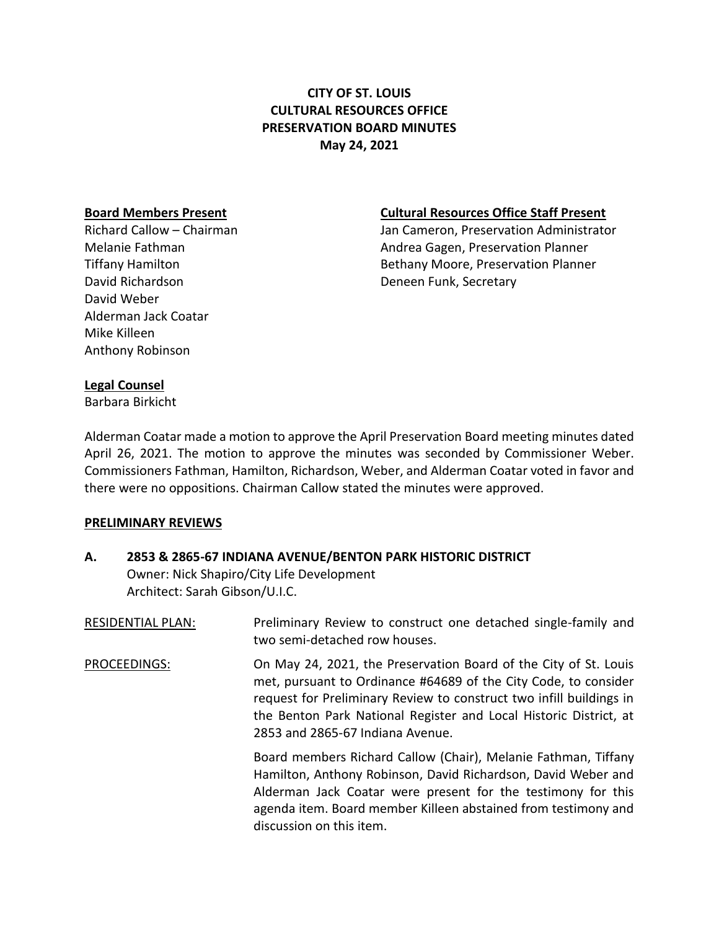# **CITY OF ST. LOUIS CULTURAL RESOURCES OFFICE PRESERVATION BOARD MINUTES May 24, 2021**

David Richardson **Deneen Funk, Secretary** David Weber Alderman Jack Coatar Mike Killeen Anthony Robinson

### **Board Members Present Cultural Resources Office Staff Present**

Richard Callow – Chairman Jan Cameron, Preservation Administrator Melanie Fathman Andrea Gagen, Preservation Planner Tiffany Hamilton **Bethany Moore, Preservation Planner** 

## **Legal Counsel**

Barbara Birkicht

Alderman Coatar made a motion to approve the April Preservation Board meeting minutes dated April 26, 2021. The motion to approve the minutes was seconded by Commissioner Weber. Commissioners Fathman, Hamilton, Richardson, Weber, and Alderman Coatar voted in favor and there were no oppositions. Chairman Callow stated the minutes were approved.

# **PRELIMINARY REVIEWS**

| А. | 2853 & 2865-67 INDIANA AVENUE/BENTON PARK HISTORIC DISTRICT |  |
|----|-------------------------------------------------------------|--|
|    | Owner: Nick Shapiro/City Life Development                   |  |
|    | Architect: Sarah Gibson/U.I.C.                              |  |
|    |                                                             |  |

discussion on this item.

| <b>RESIDENTIAL PLAN:</b> | Preliminary Review to construct one detached single-family and<br>two semi-detached row houses.                                                                                                                                                                                                                     |
|--------------------------|---------------------------------------------------------------------------------------------------------------------------------------------------------------------------------------------------------------------------------------------------------------------------------------------------------------------|
| PROCEEDINGS:             | On May 24, 2021, the Preservation Board of the City of St. Louis<br>met, pursuant to Ordinance #64689 of the City Code, to consider<br>request for Preliminary Review to construct two infill buildings in<br>the Benton Park National Register and Local Historic District, at<br>2853 and 2865-67 Indiana Avenue. |
|                          | Board members Richard Callow (Chair), Melanie Fathman, Tiffany<br>Hamilton, Anthony Robinson, David Richardson, David Weber and<br>Alderman Jack Coatar were present for the testimony for this                                                                                                                     |

agenda item. Board member Killeen abstained from testimony and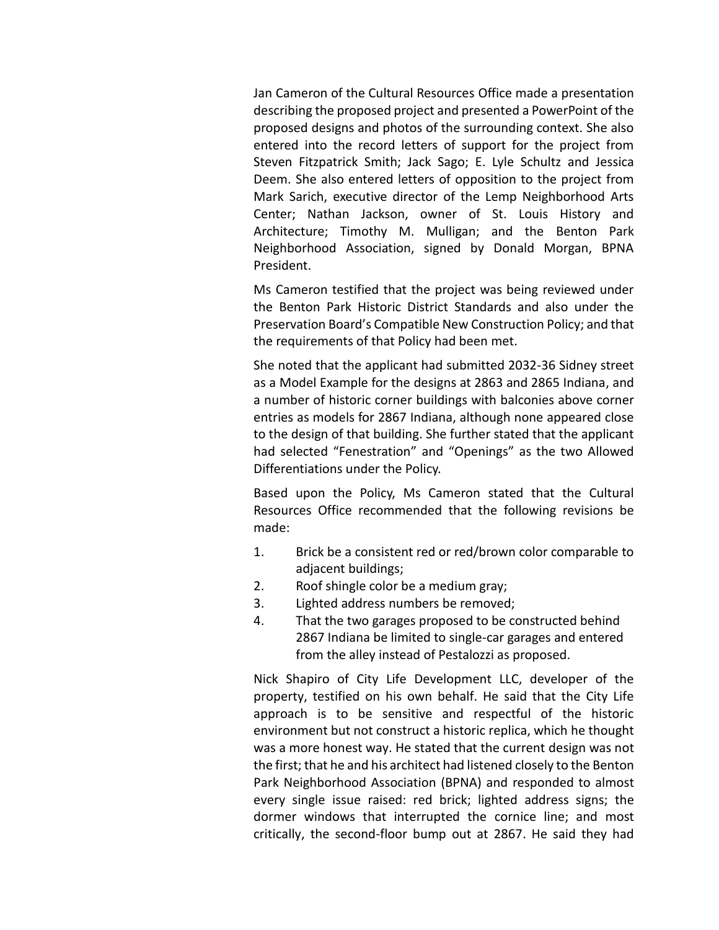Jan Cameron of the Cultural Resources Office made a presentation describing the proposed project and presented a PowerPoint of the proposed designs and photos of the surrounding context. She also entered into the record letters of support for the project from Steven Fitzpatrick Smith; Jack Sago; E. Lyle Schultz and Jessica Deem. She also entered letters of opposition to the project from Mark Sarich, executive director of the Lemp Neighborhood Arts Center; Nathan Jackson, owner of St. Louis History and Architecture; Timothy M. Mulligan; and the Benton Park Neighborhood Association, signed by Donald Morgan, BPNA President.

Ms Cameron testified that the project was being reviewed under the Benton Park Historic District Standards and also under the Preservation Board's Compatible New Construction Policy; and that the requirements of that Policy had been met.

She noted that the applicant had submitted 2032-36 Sidney street as a Model Example for the designs at 2863 and 2865 Indiana, and a number of historic corner buildings with balconies above corner entries as models for 2867 Indiana, although none appeared close to the design of that building. She further stated that the applicant had selected "Fenestration" and "Openings" as the two Allowed Differentiations under the Policy.

Based upon the Policy, Ms Cameron stated that the Cultural Resources Office recommended that the following revisions be made:

- 1. Brick be a consistent red or red/brown color comparable to adjacent buildings;
- 2. Roof shingle color be a medium gray;
- 3. Lighted address numbers be removed;
- 4. That the two garages proposed to be constructed behind 2867 Indiana be limited to single-car garages and entered from the alley instead of Pestalozzi as proposed.

Nick Shapiro of City Life Development LLC, developer of the property, testified on his own behalf. He said that the City Life approach is to be sensitive and respectful of the historic environment but not construct a historic replica, which he thought was a more honest way. He stated that the current design was not the first; that he and his architect had listened closely to the Benton Park Neighborhood Association (BPNA) and responded to almost every single issue raised: red brick; lighted address signs; the dormer windows that interrupted the cornice line; and most critically, the second-floor bump out at 2867. He said they had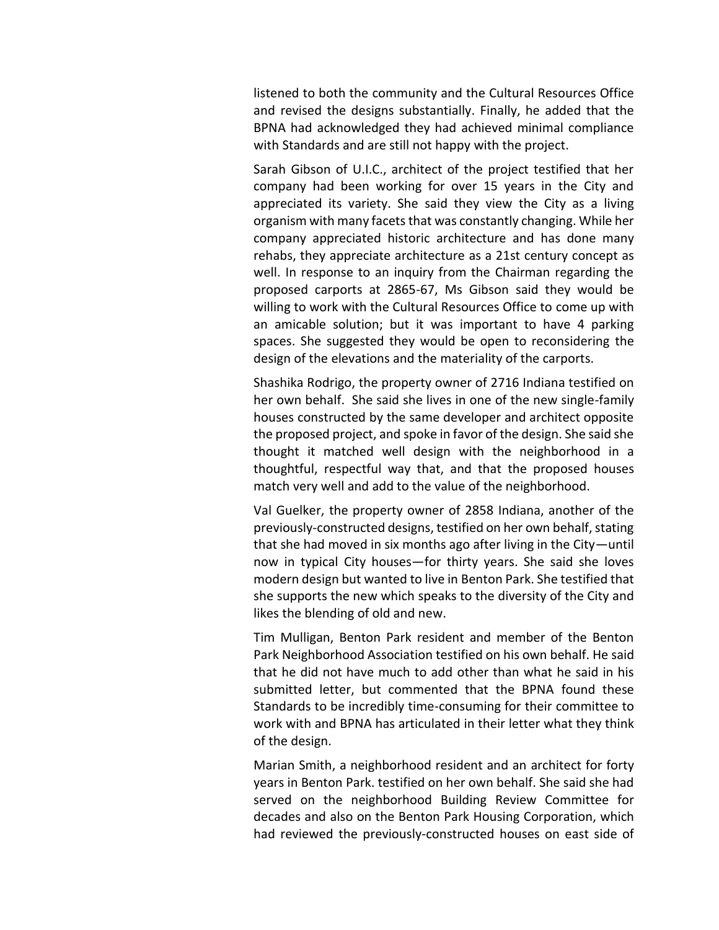listened to both the community and the Cultural Resources Office and revised the designs substantially. Finally, he added that the BPNA had acknowledged they had achieved minimal compliance with Standards and are still not happy with the project.

Sarah Gibson of U.I.C., architect of the project testified that her company had been working for over 15 years in the City and appreciated its variety. She said they view the City as a living organism with many facets that was constantly changing. While her company appreciated historic architecture and has done many rehabs, they appreciate architecture as a 21st century concept as well. In response to an inquiry from the Chairman regarding the proposed carports at 2865-67, Ms Gibson said they would be willing to work with the Cultural Resources Office to come up with an amicable solution; but it was important to have 4 parking spaces. She suggested they would be open to reconsidering the design of the elevations and the materiality of the carports.

Shashika Rodrigo, the property owner of 2716 Indiana testified on her own behalf. She said she lives in one of the new single-family houses constructed by the same developer and architect opposite the proposed project, and spoke in favor of the design. She said she thought it matched well design with the neighborhood in a thoughtful, respectful way that, and that the proposed houses match very well and add to the value of the neighborhood.

Val Guelker, the property owner of 2858 Indiana, another of the previously-constructed designs, testified on her own behalf, stating that she had moved in six months ago after living in the City—until now in typical City houses—for thirty years. She said she loves modern design but wanted to live in Benton Park. She testified that she supports the new which speaks to the diversity of the City and likes the blending of old and new.

Tim Mulligan, Benton Park resident and member of the Benton Park Neighborhood Association testified on his own behalf. He said that he did not have much to add other than what he said in his submitted letter, but commented that the BPNA found these Standards to be incredibly time-consuming for their committee to work with and BPNA has articulated in their letter what they think of the design.

Marian Smith, a neighborhood resident and an architect for forty years in Benton Park. testified on her own behalf. She said she had served on the neighborhood Building Review Committee for decades and also on the Benton Park Housing Corporation, which had reviewed the previously-constructed houses on east side of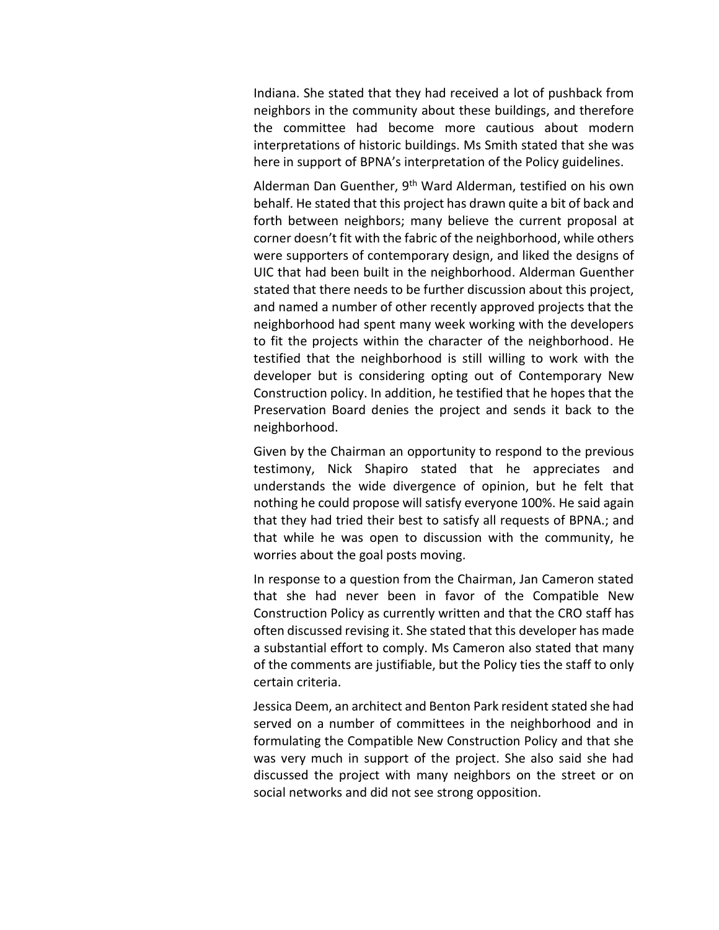Indiana. She stated that they had received a lot of pushback from neighbors in the community about these buildings, and therefore the committee had become more cautious about modern interpretations of historic buildings. Ms Smith stated that she was here in support of BPNA's interpretation of the Policy guidelines.

Alderman Dan Guenther, 9<sup>th</sup> Ward Alderman, testified on his own behalf. He stated that this project has drawn quite a bit of back and forth between neighbors; many believe the current proposal at corner doesn't fit with the fabric of the neighborhood, while others were supporters of contemporary design, and liked the designs of UIC that had been built in the neighborhood. Alderman Guenther stated that there needs to be further discussion about this project, and named a number of other recently approved projects that the neighborhood had spent many week working with the developers to fit the projects within the character of the neighborhood. He testified that the neighborhood is still willing to work with the developer but is considering opting out of Contemporary New Construction policy. In addition, he testified that he hopes that the Preservation Board denies the project and sends it back to the neighborhood.

Given by the Chairman an opportunity to respond to the previous testimony, Nick Shapiro stated that he appreciates and understands the wide divergence of opinion, but he felt that nothing he could propose will satisfy everyone 100%. He said again that they had tried their best to satisfy all requests of BPNA.; and that while he was open to discussion with the community, he worries about the goal posts moving.

In response to a question from the Chairman, Jan Cameron stated that she had never been in favor of the Compatible New Construction Policy as currently written and that the CRO staff has often discussed revising it. She stated that this developer has made a substantial effort to comply. Ms Cameron also stated that many of the comments are justifiable, but the Policy ties the staff to only certain criteria.

Jessica Deem, an architect and Benton Park resident stated she had served on a number of committees in the neighborhood and in formulating the Compatible New Construction Policy and that she was very much in support of the project. She also said she had discussed the project with many neighbors on the street or on social networks and did not see strong opposition.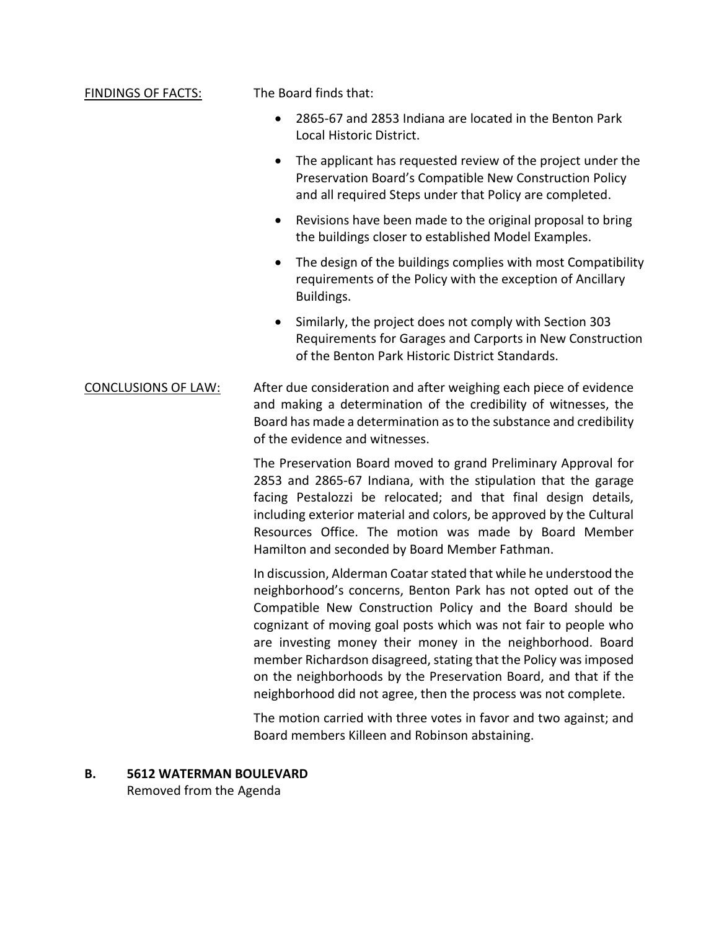#### FINDINGS OF FACTS: The Board finds that:

- 2865-67 and 2853 Indiana are located in the Benton Park Local Historic District.
- The applicant has requested review of the project under the Preservation Board's Compatible New Construction Policy and all required Steps under that Policy are completed.
- Revisions have been made to the original proposal to bring the buildings closer to established Model Examples.
- The design of the buildings complies with most Compatibility requirements of the Policy with the exception of Ancillary Buildings.
- Similarly, the project does not comply with Section 303 Requirements for Garages and Carports in New Construction of the Benton Park Historic District Standards.
- CONCLUSIONS OF LAW: After due consideration and after weighing each piece of evidence and making a determination of the credibility of witnesses, the Board has made a determination as to the substance and credibility of the evidence and witnesses.

The Preservation Board moved to grand Preliminary Approval for 2853 and 2865-67 Indiana, with the stipulation that the garage facing Pestalozzi be relocated; and that final design details, including exterior material and colors, be approved by the Cultural Resources Office. The motion was made by Board Member Hamilton and seconded by Board Member Fathman.

In discussion, Alderman Coatar stated that while he understood the neighborhood's concerns, Benton Park has not opted out of the Compatible New Construction Policy and the Board should be cognizant of moving goal posts which was not fair to people who are investing money their money in the neighborhood. Board member Richardson disagreed, stating that the Policy was imposed on the neighborhoods by the Preservation Board, and that if the neighborhood did not agree, then the process was not complete.

The motion carried with three votes in favor and two against; and Board members Killeen and Robinson abstaining.

#### **B. 5612 WATERMAN BOULEVARD**

Removed from the Agenda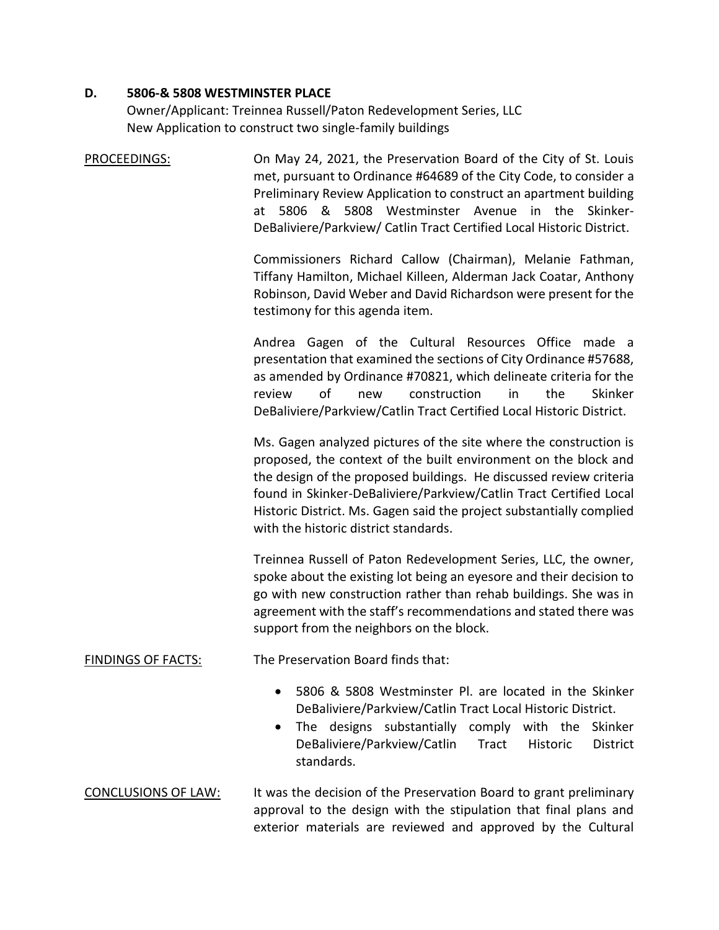## **D. 5806-& 5808 WESTMINSTER PLACE**

Owner/Applicant: Treinnea Russell/Paton Redevelopment Series, LLC New Application to construct two single-family buildings

PROCEEDINGS: On May 24, 2021, the Preservation Board of the City of St. Louis met, pursuant to Ordinance #64689 of the City Code, to consider a Preliminary Review Application to construct an apartment building at 5806 & 5808 Westminster Avenue in the Skinker-DeBaliviere/Parkview/ Catlin Tract Certified Local Historic District.

> Commissioners Richard Callow (Chairman), Melanie Fathman, Tiffany Hamilton, Michael Killeen, Alderman Jack Coatar, Anthony Robinson, David Weber and David Richardson were present for the testimony for this agenda item.

> Andrea Gagen of the Cultural Resources Office made a presentation that examined the sections of City Ordinance #57688, as amended by Ordinance #70821, which delineate criteria for the review of new construction in the Skinker DeBaliviere/Parkview/Catlin Tract Certified Local Historic District.

> Ms. Gagen analyzed pictures of the site where the construction is proposed, the context of the built environment on the block and the design of the proposed buildings. He discussed review criteria found in Skinker-DeBaliviere/Parkview/Catlin Tract Certified Local Historic District. Ms. Gagen said the project substantially complied with the historic district standards.

> Treinnea Russell of Paton Redevelopment Series, LLC, the owner, spoke about the existing lot being an eyesore and their decision to go with new construction rather than rehab buildings. She was in agreement with the staff's recommendations and stated there was support from the neighbors on the block.

# FINDINGS OF FACTS: The Preservation Board finds that:

- 5806 & 5808 Westminster Pl. are located in the Skinker DeBaliviere/Parkview/Catlin Tract Local Historic District.
- The designs substantially comply with the Skinker DeBaliviere/Parkview/Catlin Tract Historic District standards.

# CONCLUSIONS OF LAW: It was the decision of the Preservation Board to grant preliminary approval to the design with the stipulation that final plans and exterior materials are reviewed and approved by the Cultural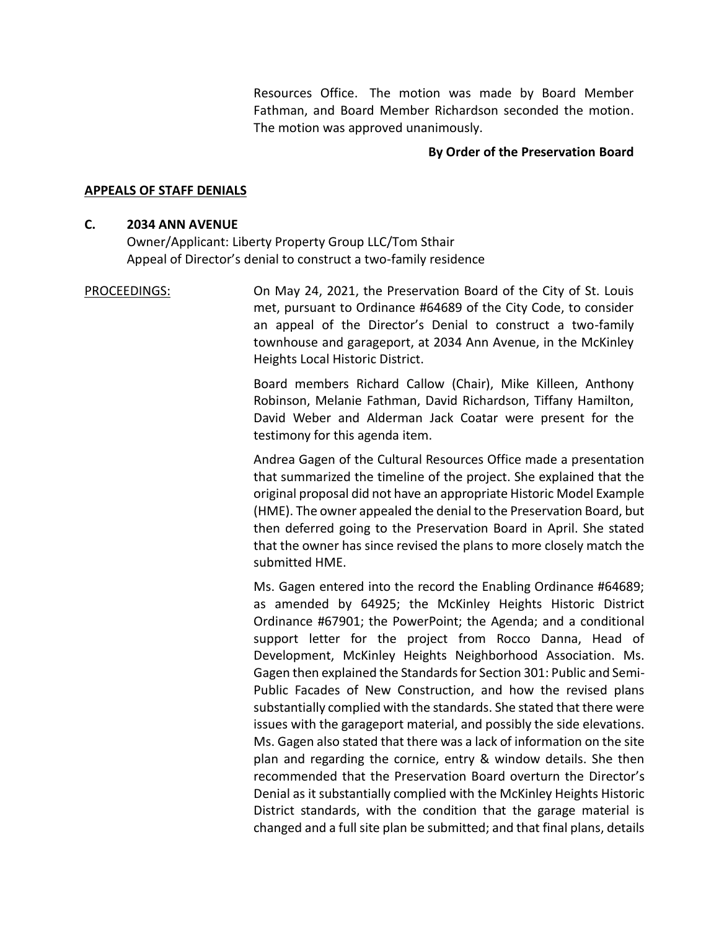Resources Office. The motion was made by Board Member Fathman, and Board Member Richardson seconded the motion. The motion was approved unanimously.

### **By Order of the Preservation Board**

#### **APPEALS OF STAFF DENIALS**

#### **C. 2034 ANN AVENUE**

Owner/Applicant: Liberty Property Group LLC/Tom Sthair Appeal of Director's denial to construct a two-family residence

# PROCEEDINGS: On May 24, 2021, the Preservation Board of the City of St. Louis met, pursuant to Ordinance #64689 of the City Code, to consider an appeal of the Director's Denial to construct a two-family townhouse and garageport, at 2034 Ann Avenue, in the McKinley Heights Local Historic District.

Board members Richard Callow (Chair), Mike Killeen, Anthony Robinson, Melanie Fathman, David Richardson, Tiffany Hamilton, David Weber and Alderman Jack Coatar were present for the testimony for this agenda item.

Andrea Gagen of the Cultural Resources Office made a presentation that summarized the timeline of the project. She explained that the original proposal did not have an appropriate Historic Model Example (HME). The owner appealed the denial to the Preservation Board, but then deferred going to the Preservation Board in April. She stated that the owner has since revised the plans to more closely match the submitted HME.

Ms. Gagen entered into the record the Enabling Ordinance #64689; as amended by 64925; the McKinley Heights Historic District Ordinance #67901; the PowerPoint; the Agenda; and a conditional support letter for the project from Rocco Danna, Head of Development, McKinley Heights Neighborhood Association. Ms. Gagen then explained the Standards for Section 301: Public and Semi-Public Facades of New Construction, and how the revised plans substantially complied with the standards. She stated that there were issues with the garageport material, and possibly the side elevations. Ms. Gagen also stated that there was a lack of information on the site plan and regarding the cornice, entry & window details. She then recommended that the Preservation Board overturn the Director's Denial as it substantially complied with the McKinley Heights Historic District standards, with the condition that the garage material is changed and a full site plan be submitted; and that final plans, details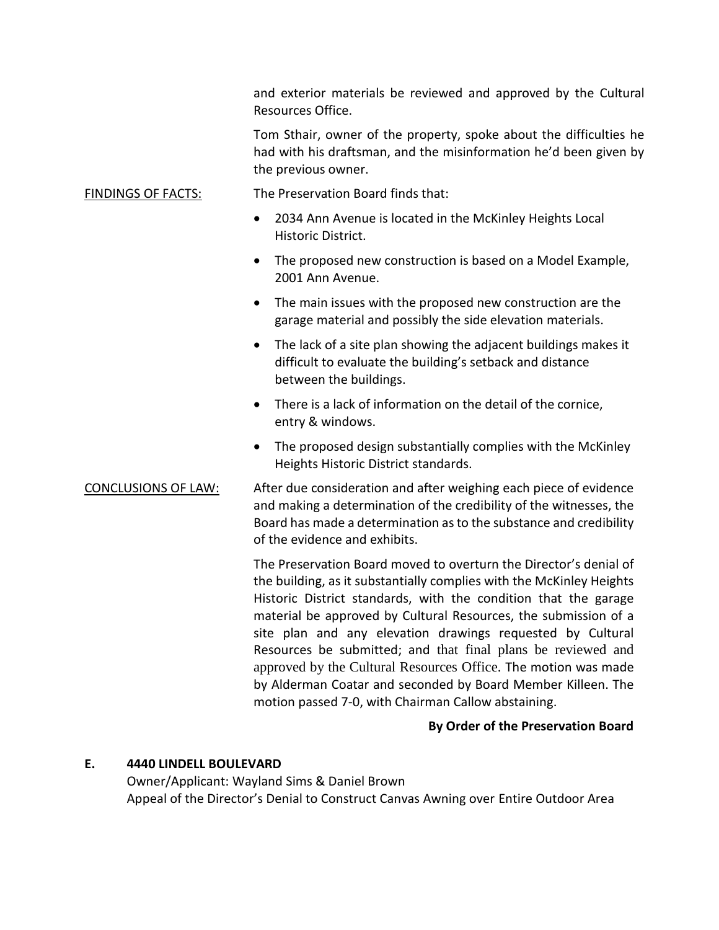and exterior materials be reviewed and approved by the Cultural Resources Office.

Tom Sthair, owner of the property, spoke about the difficulties he had with his draftsman, and the misinformation he'd been given by the previous owner.

# FINDINGS OF FACTS: The Preservation Board finds that:

- 2034 Ann Avenue is located in the McKinley Heights Local Historic District.
- The proposed new construction is based on a Model Example, 2001 Ann Avenue.
- The main issues with the proposed new construction are the garage material and possibly the side elevation materials.
- The lack of a site plan showing the adjacent buildings makes it difficult to evaluate the building's setback and distance between the buildings.
- There is a lack of information on the detail of the cornice, entry & windows.
- The proposed design substantially complies with the McKinley Heights Historic District standards.

CONCLUSIONS OF LAW: After due consideration and after weighing each piece of evidence and making a determination of the credibility of the witnesses, the Board has made a determination as to the substance and credibility of the evidence and exhibits.

> The Preservation Board moved to overturn the Director's denial of the building, as it substantially complies with the McKinley Heights Historic District standards, with the condition that the garage material be approved by Cultural Resources, the submission of a site plan and any elevation drawings requested by Cultural Resources be submitted; and that final plans be reviewed and approved by the Cultural Resources Office. The motion was made by Alderman Coatar and seconded by Board Member Killeen. The motion passed 7-0, with Chairman Callow abstaining.

# **By Order of the Preservation Board**

#### **E. 4440 LINDELL BOULEVARD**

Owner/Applicant: Wayland Sims & Daniel Brown Appeal of the Director's Denial to Construct Canvas Awning over Entire Outdoor Area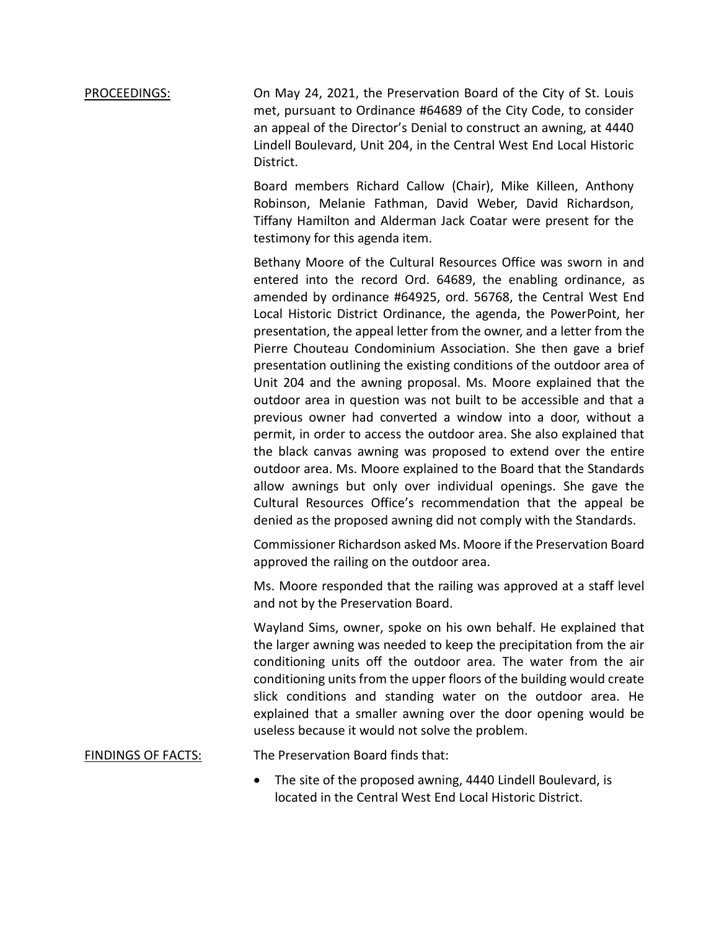# PROCEEDINGS: On May 24, 2021, the Preservation Board of the City of St. Louis met, pursuant to Ordinance #64689 of the City Code, to consider an appeal of the Director's Denial to construct an awning, at 4440 Lindell Boulevard, Unit 204, in the Central West End Local Historic District.

Board members Richard Callow (Chair), Mike Killeen, Anthony Robinson, Melanie Fathman, David Weber, David Richardson, Tiffany Hamilton and Alderman Jack Coatar were present for the testimony for this agenda item.

Bethany Moore of the Cultural Resources Office was sworn in and entered into the record Ord. 64689, the enabling ordinance, as amended by ordinance #64925, ord. 56768, the Central West End Local Historic District Ordinance, the agenda, the PowerPoint, her presentation, the appeal letter from the owner, and a letter from the Pierre Chouteau Condominium Association. She then gave a brief presentation outlining the existing conditions of the outdoor area of Unit 204 and the awning proposal. Ms. Moore explained that the outdoor area in question was not built to be accessible and that a previous owner had converted a window into a door, without a permit, in order to access the outdoor area. She also explained that the black canvas awning was proposed to extend over the entire outdoor area. Ms. Moore explained to the Board that the Standards allow awnings but only over individual openings. She gave the Cultural Resources Office's recommendation that the appeal be denied as the proposed awning did not comply with the Standards.

Commissioner Richardson asked Ms. Moore if the Preservation Board approved the railing on the outdoor area.

Ms. Moore responded that the railing was approved at a staff level and not by the Preservation Board.

Wayland Sims, owner, spoke on his own behalf. He explained that the larger awning was needed to keep the precipitation from the air conditioning units off the outdoor area. The water from the air conditioning units from the upper floors of the building would create slick conditions and standing water on the outdoor area. He explained that a smaller awning over the door opening would be useless because it would not solve the problem.

## FINDINGS OF FACTS: The Preservation Board finds that:

 The site of the proposed awning, 4440 Lindell Boulevard, is located in the Central West End Local Historic District.